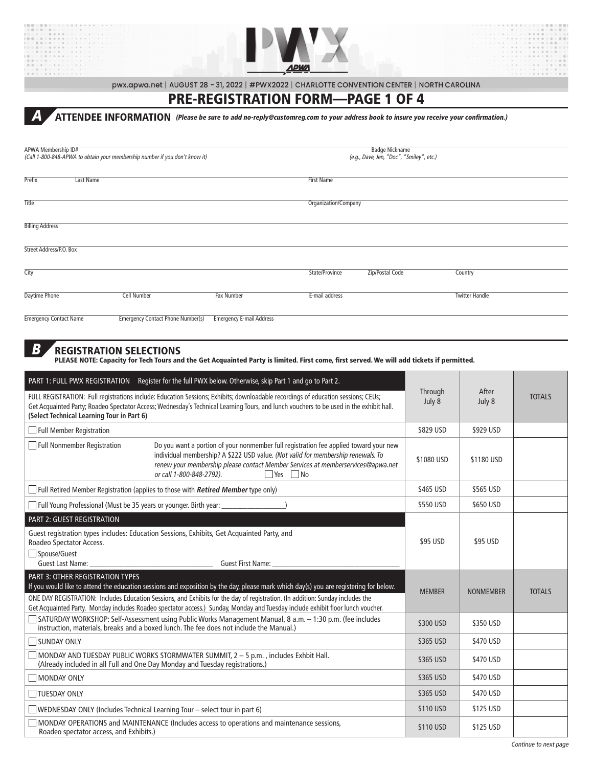

# PRE-REGISTRATION FORM—PAGE 1 OF 4

**A ATTENDEE INFORMATION** (Please be sure to add no-reply@customreg.com to your address book to insure you receive your confirmation.)

| APWA Membership ID#<br>(Call 1-800-848-APWA to obtain your membership number if you don't know it) |                                          |                                 | Badge Nickname<br>(e.g., Dave, Jen, "Doc", "Smiley", etc.) |                 |                       |  |
|----------------------------------------------------------------------------------------------------|------------------------------------------|---------------------------------|------------------------------------------------------------|-----------------|-----------------------|--|
| Prefix<br>Last Name                                                                                |                                          |                                 | <b>First Name</b>                                          |                 |                       |  |
| Title                                                                                              |                                          |                                 | Organization/Company                                       |                 |                       |  |
| <b>Billing Address</b>                                                                             |                                          |                                 |                                                            |                 |                       |  |
| Street Address/P.O. Box                                                                            |                                          |                                 |                                                            |                 |                       |  |
| City                                                                                               |                                          |                                 | State/Province                                             | Zip/Postal Code | Country               |  |
| Daytime Phone                                                                                      | <b>Cell Number</b>                       | <b>Fax Number</b>               | E-mail address                                             |                 | <b>Twitter Handle</b> |  |
| <b>Emergency Contact Name</b>                                                                      | <b>Emergency Contact Phone Number(s)</b> | <b>Emergency E-mail Address</b> |                                                            |                 |                       |  |

# **REGISTRATION SELECTIONS**

PLEASE NOTE: Capacity for Tech Tours and the Get Acquainted Party is limited. First come, first served. We will add tickets if permitted.

| PART 1: FULL PWX REGISTRATION Register for the full PWX below. Otherwise, skip Part 1 and go to Part 2.                                                                                                                                                                                                                                                                                                                                               |                   |                  |               |
|-------------------------------------------------------------------------------------------------------------------------------------------------------------------------------------------------------------------------------------------------------------------------------------------------------------------------------------------------------------------------------------------------------------------------------------------------------|-------------------|------------------|---------------|
| FULL REGISTRATION: Full registrations include: Education Sessions; Exhibits; downloadable recordings of education sessions; CEUs;<br>Get Acquainted Party; Roadeo Spectator Access; Wednesday's Technical Learning Tours, and lunch vouchers to be used in the exhibit hall.<br>(Select Technical Learning Tour in Part 6)                                                                                                                            | Through<br>July 8 | After<br>July 8  | <b>TOTALS</b> |
| Full Member Registration                                                                                                                                                                                                                                                                                                                                                                                                                              | \$829 USD         | \$929 USD        |               |
| Full Nonmember Registration<br>Do you want a portion of your nonmember full registration fee applied toward your new<br>individual membership? A \$222 USD value. (Not valid for membership renewals. To<br>renew your membership please contact Member Services at memberservices@apwa.net<br>or call 1-800-848-2792).<br>$\Box$ Yes $\Box$ No                                                                                                       | \$1080 USD        | \$1180 USD       |               |
| $\Box$ Full Retired Member Registration (applies to those with <b>Retired Member</b> type only)                                                                                                                                                                                                                                                                                                                                                       | \$465 USD         | \$565 USD        |               |
| Full Young Professional (Must be 35 years or younger. Birth year: _______________                                                                                                                                                                                                                                                                                                                                                                     | \$550 USD         | \$650 USD        |               |
| PART 2: GUEST REGISTRATION<br>Guest registration types includes: Education Sessions, Exhibits, Get Acquainted Party, and<br>Roadeo Spectator Access.<br>Spouse/Guest<br>Guest Last Name: The Contract of the Contract of the Contract of the Contract of the Contract of the Contract of the Contract of the Contract of the Contract of the Contract of the Contract of the Contract of the Contract<br>Guest First Name:                            | \$95 USD          | \$95 USD         |               |
| <b>PART 3: OTHER REGISTRATION TYPES</b><br>If you would like to attend the education sessions and exposition by the day, please mark which day(s) you are registering for below.<br>ONE DAY REGISTRATION: Includes Education Sessions, and Exhibits for the day of registration. (In addition: Sunday includes the<br>Get Acquainted Party. Monday includes Roadeo spectator access.) Sunday, Monday and Tuesday include exhibit floor lunch voucher. |                   | <b>NONMEMBER</b> | <b>TOTALS</b> |
| □ SATURDAY WORKSHOP: Self-Assessment using Public Works Management Manual, 8 a.m. - 1:30 p.m. (fee includes<br>instruction, materials, breaks and a boxed lunch. The fee does not include the Manual.)                                                                                                                                                                                                                                                |                   | \$350 USD        |               |
| SUNDAY ONLY                                                                                                                                                                                                                                                                                                                                                                                                                                           |                   | \$470 USD        |               |
| $\Box$ MONDAY AND TUESDAY PUBLIC WORKS STORMWATER SUMMIT, 2 - 5 p.m., includes Exhbit Hall.<br>(Already included in all Full and One Day Monday and Tuesday registrations.)                                                                                                                                                                                                                                                                           |                   | \$470 USD        |               |
| MONDAY ONLY                                                                                                                                                                                                                                                                                                                                                                                                                                           |                   | \$470 USD        |               |
| TUESDAY ONLY                                                                                                                                                                                                                                                                                                                                                                                                                                          |                   | \$470 USD        |               |
| $\Box$ WEDNESDAY ONLY (Includes Technical Learning Tour – select tour in part 6)                                                                                                                                                                                                                                                                                                                                                                      |                   | \$125 USD        |               |
| MONDAY OPERATIONS and MAINTENANCE (Includes access to operations and maintenance sessions,<br>Roadeo spectator access, and Exhibits.)                                                                                                                                                                                                                                                                                                                 |                   | \$125 USD        |               |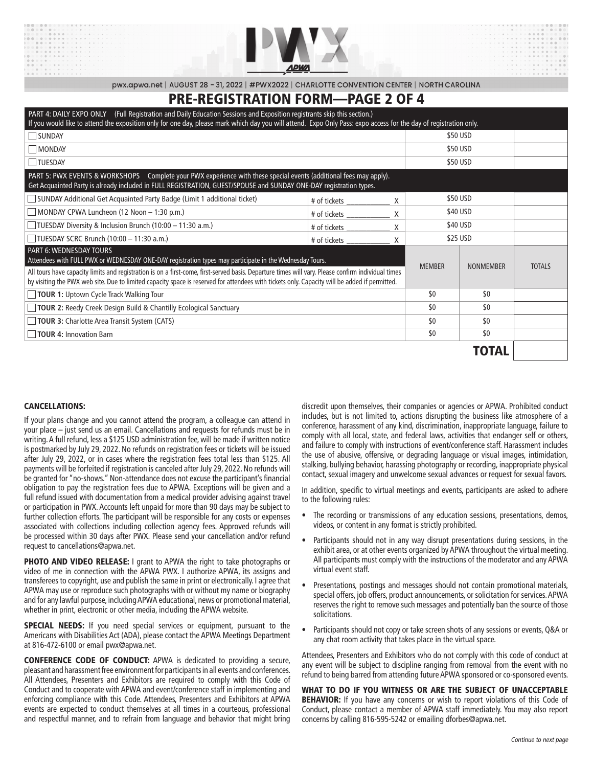

# PRE-REGISTRATION FORM—PAGE 2 OF 4

| PART 4: DAILY EXPO ONLY (Full Registration and Daily Education Sessions and Exposition registrants skip this section.)<br>If you would like to attend the exposition only for one day, please mark which day you will attend. Expo Only Pass: expo access for the day of registration only.         |  |     |               |                  |               |
|-----------------------------------------------------------------------------------------------------------------------------------------------------------------------------------------------------------------------------------------------------------------------------------------------------|--|-----|---------------|------------------|---------------|
| SUNDAY                                                                                                                                                                                                                                                                                              |  |     |               | \$50 USD         |               |
| MONDAY                                                                                                                                                                                                                                                                                              |  |     | \$50 USD      |                  |               |
| <b>TUESDAY</b>                                                                                                                                                                                                                                                                                      |  |     | \$50 USD      |                  |               |
| PART 5: PWX EVENTS & WORKSHOPS Complete your PWX experience with these special events (additional fees may apply).<br>Get Acquainted Party is already included in FULL REGISTRATION, GUEST/SPOUSE and SUNDAY ONE-DAY registration types.                                                            |  |     |               |                  |               |
| SUNDAY Additional Get Acquainted Party Badge (Limit 1 additional ticket)                                                                                                                                                                                                                            |  |     |               | \$50 USD         |               |
| MONDAY CPWA Luncheon (12 Noon - 1:30 p.m.)                                                                                                                                                                                                                                                          |  |     | \$40 USD      |                  |               |
| $\Box$ TUESDAY Diversity & Inclusion Brunch (10:00 – 11:30 a.m.)<br># of tickets<br>X                                                                                                                                                                                                               |  |     | \$40 USD      |                  |               |
| $\Box$ TUESDAY SCRC Brunch (10:00 - 11:30 a.m.)<br># of tickets<br>Χ                                                                                                                                                                                                                                |  |     | \$25 USD      |                  |               |
| PART 6: WEDNESDAY TOURS<br>Attendees with FULL PWX or WEDNESDAY ONE-DAY registration types may participate in the Wednesday Tours.                                                                                                                                                                  |  |     | <b>MEMBER</b> | <b>NONMEMBER</b> | <b>TOTALS</b> |
| All tours have capacity limits and registration is on a first-come, first-served basis. Departure times will vary. Please confirm individual times<br>by visiting the PWX web site. Due to limited capacity space is reserved for attendees with tickets only. Capacity will be added if permitted. |  |     |               |                  |               |
| <b>TOUR 1: Uptown Cycle Track Walking Tour</b>                                                                                                                                                                                                                                                      |  |     | \$0           | \$0              |               |
| <b>TOUR 2: Reedy Creek Design Build &amp; Chantilly Ecological Sanctuary</b>                                                                                                                                                                                                                        |  |     | \$0           | \$0              |               |
| <b>TOUR 3: Charlotte Area Transit System (CATS)</b>                                                                                                                                                                                                                                                 |  | \$0 | \$0           |                  |               |
| <b>TOUR 4: Innovation Barn</b>                                                                                                                                                                                                                                                                      |  |     | \$0           | \$0              |               |
|                                                                                                                                                                                                                                                                                                     |  |     |               | TOTAL            |               |

#### CANCELLATIONS:

If your plans change and you cannot attend the program, a colleague can attend in your place – just send us an email. Cancellations and requests for refunds must be in writing. A full refund, less a \$125 USD administration fee, will be made if written notice is postmarked by July 29, 2022. No refunds on registration fees or tickets will be issued after July 29, 2022, or in cases where the registration fees total less than \$125. All payments will be forfeited if registration is canceled after July 29, 2022. No refunds will be granted for "no-shows." Non-attendance does not excuse the participant's financial obligation to pay the registration fees due to APWA. Exceptions will be given and a full refund issued with documentation from a medical provider advising against travel or participation in PWX. Accounts left unpaid for more than 90 days may be subject to further collection efforts. The participant will be responsible for any costs or expenses associated with collections including collection agency fees. Approved refunds will be processed within 30 days after PWX. Please send your cancellation and/or refund request to cancellations@apwa.net.

**PHOTO AND VIDEO RELEASE:** I grant to APWA the right to take photographs or video of me in connection with the APWA PWX. I authorize APWA, its assigns and transferees to copyright, use and publish the same in print or electronically. I agree that APWA may use or reproduce such photographs with or without my name or biography and for any lawful purpose, including APWA educational, news or promotional material, whether in print, electronic or other media, including the APWA website.

**SPECIAL NEEDS:** If you need special services or equipment, pursuant to the Americans with Disabilities Act (ADA), please contact the APWA Meetings Department at 816-472-6100 or email [pwx@apwa.net](mailto:pwx%40apwa.net?subject=).

CONFERENCE CODE OF CONDUCT: APWA is dedicated to providing a secure, pleasant and harassment free environment for participants in all events and conferences. All Attendees, Presenters and Exhibitors are required to comply with this Code of Conduct and to cooperate with APWA and event/conference staff in implementing and enforcing compliance with this Code. Attendees, Presenters and Exhibitors at APWA events are expected to conduct themselves at all times in a courteous, professional and respectful manner, and to refrain from language and behavior that might bring

discredit upon themselves, their companies or agencies or APWA. Prohibited conduct includes, but is not limited to, actions disrupting the business like atmosphere of a conference, harassment of any kind, discrimination, inappropriate language, failure to comply with all local, state, and federal laws, activities that endanger self or others, and failure to comply with instructions of event/conference staff. Harassment includes the use of abusive, offensive, or degrading language or visual images, intimidation, stalking, bullying behavior, harassing photography or recording, inappropriate physical contact, sexual imagery and unwelcome sexual advances or request for sexual favors.

In addition, specific to virtual meetings and events, participants are asked to adhere to the following rules:

- The recording or transmissions of any education sessions, presentations, demos, videos, or content in any format is strictly prohibited.
- Participants should not in any way disrupt presentations during sessions, in the exhibit area, or at other events organized by APWA throughout the virtual meeting. All participants must comply with the instructions of the moderator and any APWA virtual event staff.
- Presentations, postings and messages should not contain promotional materials, special offers, job offers, product announcements, or solicitation for services. APWA reserves the right to remove such messages and potentially ban the source of those solicitations.
- Participants should not copy or take screen shots of any sessions or events, Q&A or any chat room activity that takes place in the virtual space.

Attendees, Presenters and Exhibitors who do not comply with this code of conduct at any event will be subject to discipline ranging from removal from the event with no refund to being barred from attending future APWA sponsored or co-sponsored events.

WHAT TO DO IF YOU WITNESS OR ARE THE SUBJECT OF UNACCEPTABLE **BEHAVIOR:** If you have any concerns or wish to report violations of this Code of Conduct, please contact a member of APWA staff immediately. You may also report concerns by calling 816-595-5242 or emailing [dforbes@apwa.net](mailto:dforbes%40apwa.net?subject=).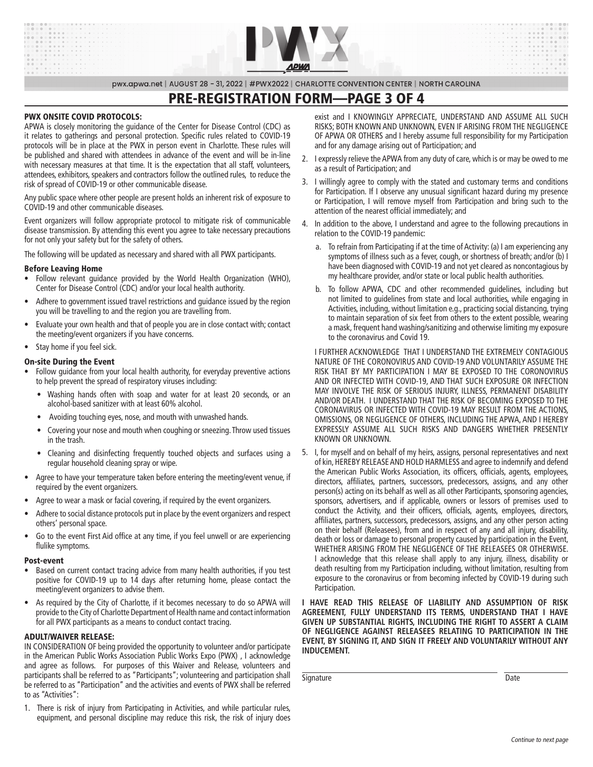

# PRE-REGISTRATION FORM—PAGE 3 OF 4

#### PWX ONSITE COVID PROTOCOLS:

APWA is closely monitoring the guidance of the Center for Disease Control (CDC) as it relates to gatherings and personal protection. Specific rules related to COVID-19 protocols will be in place at the PWX in person event in Charlotte. These rules will be published and shared with attendees in advance of the event and will be in-line with necessary measures at that time. It is the expectation that all staff, volunteers, attendees, exhibitors, speakers and contractors follow the outlined rules, to reduce the risk of spread of COVID-19 or other communicable disease.

Any public space where other people are present holds an inherent risk of exposure to COVID-19 and other communicable diseases.

Event organizers will follow appropriate protocol to mitigate risk of communicable disease transmission. By attending this event you agree to take necessary precautions for not only your safety but for the safety of others.

The following will be updated as necessary and shared with all PWX participants.

#### Before Leaving Home

- Follow relevant guidance provided by the World Health Organization (WHO), Center for Disease Control (CDC) and/or your local health authority.
- Adhere to government issued travel restrictions and guidance issued by the region you will be travelling to and the region you are travelling from.
- Evaluate your own health and that of people you are in close contact with; contact the meeting/event organizers if you have concerns.
- Stay home if you feel sick.

## On-site During the Event

- Follow guidance from your local health authority, for everyday preventive actions to help prevent the spread of respiratory viruses including:
	- Washing hands often with soap and water for at least 20 seconds, or an alcohol-based sanitizer with at least 60% alcohol.
	- Avoiding touching eyes, nose, and mouth with unwashed hands.
	- Covering your nose and mouth when coughing or sneezing. Throw used tissues in the trash.
	- Cleaning and disinfecting frequently touched objects and surfaces using a regular household cleaning spray or wipe.
- Agree to have your temperature taken before entering the meeting/event venue, if required by the event organizers.
- Agree to wear a mask or facial covering, if required by the event organizers.
- Adhere to social distance protocols put in place by the event organizers and respect others' personal space.
- Go to the event First Aid office at any time, if you feel unwell or are experiencing flulike symptoms.

#### Post-event

- Based on current contact tracing advice from many health authorities, if you test positive for COVID-19 up to 14 days after returning home, please contact the meeting/event organizers to advise them.
- As required by the City of Charlotte, if it becomes necessary to do so APWA will provide to the City of Charlotte Department of Health name and contact information for all PWX participants as a means to conduct contact tracing.

#### ADULT/WAIVER RELEASE:

IN CONSIDERATION OF being provided the opportunity to volunteer and/or participate in the American Public Works Association Public Works Expo (PWX) , I acknowledge and agree as follows. For purposes of this Waiver and Release, volunteers and participants shall be referred to as "Participants"; volunteering and participation shall be referred to as "Participation" and the activities and events of PWX shall be referred to as "Activities":

1. There is risk of injury from Participating in Activities, and while particular rules, equipment, and personal discipline may reduce this risk, the risk of injury does exist and I KNOWINGLY APPRECIATE, UNDERSTAND AND ASSUME ALL SUCH RISKS; BOTH KNOWN AND UNKNOWN, EVEN IF ARISING FROM THE NEGLIGENCE OF APWA OR OTHERS and I hereby assume full responsibility for my Participation and for any damage arising out of Participation; and

- 2. I expressly relieve the APWA from any duty of care, which is or may be owed to me as a result of Participation; and
- 3. I willingly agree to comply with the stated and customary terms and conditions for Participation. If I observe any unusual significant hazard during my presence or Participation, I will remove myself from Participation and bring such to the attention of the nearest official immediately; and
- 4. In addition to the above, I understand and agree to the following precautions in relation to the COVID-19 pandemic:
	- a. To refrain from Participating if at the time of Activity: (a) I am experiencing any symptoms of illness such as a fever, cough, or shortness of breath; and/or (b) I have been diagnosed with COVID-19 and not yet cleared as noncontagious by my healthcare provider, and/or state or local public health authorities.
	- b. To follow APWA, CDC and other recommended guidelines, including but not limited to guidelines from state and local authorities, while engaging in Activities, including, without limitation e.g., practicing social distancing, trying to maintain separation of six feet from others to the extent possible, wearing a mask, frequent hand washing/sanitizing and otherwise limiting my exposure to the coronavirus and Covid 19.

I FURTHER ACKNOWLEDGE THAT I UNDERSTAND THE EXTREMELY CONTAGIOUS NATURE OF THE CORONOVIRUS AND COVID-19 AND VOLUNTARILY ASSUME THE RISK THAT BY MY PARTICIPATION I MAY BE EXPOSED TO THE CORONOVIRUS AND OR INFECTED WITH COVID-19, AND THAT SUCH EXPOSURE OR INFECTION MAY INVOLVE THE RISK OF SERIOUS INJURY, ILLNESS, PERMANENT DISABILITY AND/OR DEATH. I UNDERSTAND THAT THE RISK OF BECOMING EXPOSED TO THE CORONAVIRUS OR INFECTED WITH COVID-19 MAY RESULT FROM THE ACTIONS, OMISSIONS, OR NEGLIGENCE OF OTHERS, INCLUDING THE APWA, AND I HEREBY EXPRESSLY ASSUME ALL SUCH RISKS AND DANGERS WHETHER PRESENTLY KNOWN OR UNKNOWN.

5. I, for myself and on behalf of my heirs, assigns, personal representatives and next of kin, HEREBY RELEASE AND HOLD HARMLESS and agree to indemnify and defend the American Public Works Association, its officers, officials, agents, employees, directors, affiliates, partners, successors, predecessors, assigns, and any other person(s) acting on its behalf as well as all other Participants, sponsoring agencies, sponsors, advertisers, and if applicable, owners or lessors of premises used to conduct the Activity, and their officers, officials, agents, employees, directors, affiliates, partners, successors, predecessors, assigns, and any other person acting on their behalf (Releasees), from and in respect of any and all injury, disability, death or loss or damage to personal property caused by participation in the Event, WHETHER ARISING FROM THE NEGLIGENCE OF THE RELEASEES OR OTHERWISE. I acknowledge that this release shall apply to any injury, illness, disability or death resulting from my Participation including, without limitation, resulting from exposure to the coronavirus or from becoming infected by COVID-19 during such Participation.

**I HAVE READ THIS RELEASE OF LIABILITY AND ASSUMPTION OF RISK AGREEMENT, FULLY UNDERSTAND ITS TERMS, UNDERSTAND THAT I HAVE GIVEN UP SUBSTANTIAL RIGHTS, INCLUDING THE RIGHT TO ASSERT A CLAIM OF NEGLIGENCE AGAINST RELEASEES RELATING TO PARTICIPATION IN THE EVENT, BY SIGNING IT, AND SIGN IT FREELY AND VOLUNTARILY WITHOUT ANY INDUCEMENT.**

Signature Date